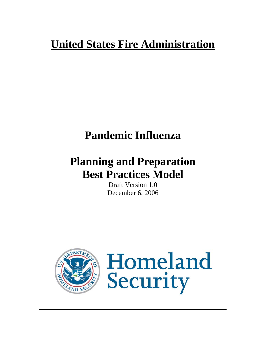# **United States Fire Administration**

# **Pandemic Influenza**

# **Planning and Preparation Best Practices Model**

Draft Version 1.0 December 6, 2006



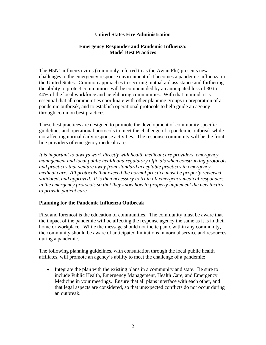## **United States Fire Administration**

#### **Emergency Responder and Pandemic Influenza: Model Best Practices**

The H5N1 influenza virus (commonly referred to as the Avian Flu) presents new challenges to the emergency response environment if it becomes a pandemic influenza in the United States. Common approaches to securing mutual aid assistance and furthering the ability to protect communities will be compounded by an anticipated loss of 30 to 40% of the local workforce and neighboring communities. With that in mind, it is essential that all communities coordinate with other planning groups in preparation of a pandemic outbreak, and to establish operational protocols to help guide an agency through common best practices.

These best practices are designed to promote the development of community specific guidelines and operational protocols to meet the challenge of a pandemic outbreak while not affecting normal daily response activities. The response community will be the front line providers of emergency medical care.

*It is important to always work directly with health medical care providers, emergency management and local public health and regulatory officials when constructing protocols and practices that venture away from standard acceptable practices in emergency medical care. All protocols that exceed the normal practice must be properly reviewed, validated, and approved. It is then necessary to train all emergency medical responders in the emergency protocols so that they know how to properly implement the new tactics to provide patient care.* 

## **Planning for the Pandemic Influenza Outbreak**

First and foremost is the education of communities. The community must be aware that the impact of the pandemic will be affecting the response agency the same as it is in their home or workplace. While the message should not incite panic within any community, the community should be aware of anticipated limitations in normal service and resources during a pandemic.

The following planning guidelines, with consultation through the local public health affiliates, will promote an agency's ability to meet the challenge of a pandemic:

• Integrate the plan with the existing plans in a community and state. Be sure to include Public Health, Emergency Management, Health Care, and Emergency Medicine in your meetings. Ensure that all plans interface with each other, and that legal aspects are considered, so that unexpected conflicts do not occur during an outbreak.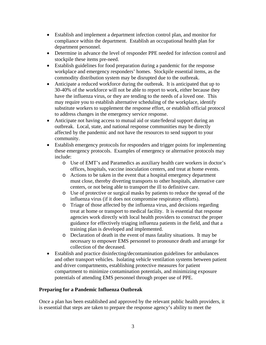- Establish and implement a department infection control plan, and monitor for compliance within the department. Establish an occupational health plan for department personnel.
- Determine in advance the level of responder PPE needed for infection control and stockpile these items pre-need.
- Establish guidelines for food preparation during a pandemic for the response workplace and emergency responders' homes. Stockpile essential items, as the commodity distribution system may be disrupted due to the outbreak.
- Anticipate a reduced workforce during the outbreak. It is anticipated that up to 30-40% of the workforce will not be able to report to work, either because they have the influenza virus, or they are tending to the needs of a loved one. This may require you to establish alternative scheduling of the workplace, identify substitute workers to supplement the response effort, or establish official protocol to address changes in the emergency service response.
- Anticipate not having access to mutual aid or state/federal support during an outbreak. Local, state, and national response communities may be directly affected by the pandemic and not have the resources to send support to your community.
- Establish emergency protocols for responders and trigger points for implementing these emergency protocols. Examples of emergency or alternative protocols may include:
	- o Use of EMT's and Paramedics as auxiliary health care workers in doctor's offices, hospitals, vaccine inoculation centers, and treat at home events.
	- o Actions to be taken in the event that a hospital emergency department must close, thereby diverting transports to other hospitals, alternative care centers, or not being able to transport the ill to definitive care.
	- o Use of protective or surgical masks by patients to reduce the spread of the influenza virus (if it does not compromise respiratory efforts).
	- o Triage of those affected by the influenza virus, and decisions regarding treat at home or transport to medical facility. It is essential that response agencies work directly with local health providers to construct the proper guidance for effectively triaging influenza patients in the field, and that a training plan is developed and implemented.
	- o Declaration of death in the event of mass fatality situations. It may be necessary to empower EMS personnel to pronounce death and arrange for collection of the deceased.
- Establish and practice disinfecting/decontamination guidelines for ambulances and other transport vehicles. Isolating vehicle ventilation systems between patient and driver compartments, establishing protective measures for patient compartment to minimize contamination potentials, and minimizing exposure potentials of attending EMS personnel through proper use of PPE.

## **Preparing for a Pandemic Influenza Outbreak**

Once a plan has been established and approved by the relevant public health providers, it is essential that steps are taken to prepare the response agency's ability to meet the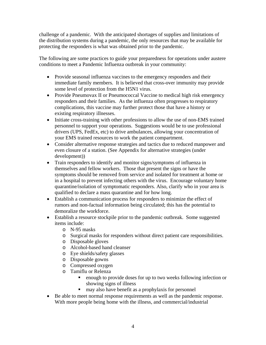challenge of a pandemic. With the anticipated shortages of supplies and limitations of the distribution systems during a pandemic, the only resources that may be available for protecting the responders is what was obtained prior to the pandemic.

The following are some practices to guide your preparedness for operations under austere conditions to meet a Pandemic Influenza outbreak in your community:

- Provide seasonal influenza vaccines to the emergency responders and their immediate family members. It is believed that cross-over immunity may provide some level of protection from the H5N1 virus.
- Provide Pneumovax II or Pneumococcal Vaccine to medical high risk emergency responders and their families. As the influenza often progresses to respiratory complications, this vaccine may further protect those that have a history or existing respiratory illnesses.
- Initiate cross-training with other professions to allow the use of non-EMS trained personnel to support your operations. Suggestions would be to use professional drivers (UPS, FedEx, etc) to drive ambulances, allowing your concentration of your EMS trained resources to work the patient compartment.
- Consider alternative response strategies and tactics due to reduced manpower and even closure of a station. (See Appendix for alternative strategies (under development))
- Train responders to identify and monitor signs/symptoms of influenza in themselves and fellow workers. Those that present the signs or have the symptoms should be removed from service and isolated for treatment at home or in a hospital to prevent infecting others with the virus. Encourage voluntary home quarantine/isolation of symptomatic responders. Also, clarify who in your area is qualified to declare a mass quarantine and for how long.
- Establish a communication process for responders to minimize the effect of rumors and non-factual information being circulated; this has the potential to demoralize the workforce.
- Establish a resource stockpile prior to the pandemic outbreak. Some suggested items include:
	- o N-95 masks
	- o Surgical masks for responders without direct patient care responsibilities.
	- o Disposable gloves
	- o Alcohol-based hand cleanser
	- o Eye shields/safety glasses
	- o Disposable gowns
	- o Compressed oxygen
	- o Tamiflu or Relenza
		- enough to provide doses for up to two weeks following infection or showing signs of illness
		- $\blacksquare$  may also have benefit as a prophylaxis for personnel
- Be able to meet normal response requirements as well as the pandemic response. With more people being home with the illness, and commercial/industrial